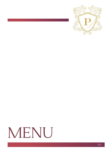

# MENU

 ${\rm EN}$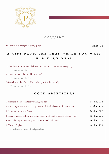

#### **COUVERT**

The couvert is charged to every guest 22 kn / 3  $\epsilon$ 

# **A GIFT FROM THE CHEF WHILE YOU WAIT FOR YOUR MEAL**

Daily selection of homemade bread prepared in the restaurant every day

\*Complements of the chef

A welcome snack designed by the chef

\*Complements of the chef

Olive oil from the island of Brač (Selca) – Štambuk family

\*Complements of the chef

#### **COLD APPETIZERS**

| 1. Mozzarella and tomatoes with arugula pesto                                  | 148 kn / 20 $\in$           |
|--------------------------------------------------------------------------------|-----------------------------|
| 2. Zucchini; in lemon and black pepper with fresh cheese in olive tapenade     | 129 kn / 17 €               |
| 3. Steak tartare the chef's way                                                | $168 \text{ kn}$ / $22 \in$ |
| 4. Steak carpaccio in lime and chili peppers with fresh cheese in black pepper | $168 \text{ kn} / 22 \in$   |
| 5. Pressed octopus over baby lettuce with piculja olive oil                    | $168 \text{ kn}$ / $22 \in$ |
| 6. The chef's plate                                                            | $168 \text{ kn}$ / $22 \in$ |
|                                                                                |                             |

Pressed octopus, swordfish and juvenile fish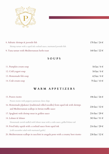

| 8. Adriatic shrimps & juvenile fish                                     | 178 kn / 24 $\in$           |
|-------------------------------------------------------------------------|-----------------------------|
| Shrimp tartare with a squid ink cocktail sauce, marinated juvenile fish |                             |
| 9. Tuna tartare with Mediterranean herbs toast                          | $168 \text{ kn}$ / $22 \in$ |
|                                                                         |                             |

## **SOUPS**

| 11. Pumpkin cream soup | 58 kn / $8 \in$           |
|------------------------|---------------------------|
| 12. Cold yogurt soup   | 58 kn / $8 \in$           |
| 13. Homemade fish soup | $62 \text{ kn}$ / $8 \in$ |
| 14. Crab cream soup    | 75 kn / $10 \in$          |

### **WARM APPETIZERS**

| 15. Prawn risotto                                                                   | 196 kn / 26 €     |
|-------------------------------------------------------------------------------------|-------------------|
| Prawn risotto with peppery parmesan chese chips                                     |                   |
| 16. Homemade pljukanci (traditional rolled noodles) from squid ink with shrimps     | 238 kn / 32 $\in$ |
| and Mediterranean scallops in Istrian truffle sauce                                 |                   |
| 17. Spaghetti with shrimp meat in golden sauce                                      | 216 kn / 29 €     |
| 18. Lobster & lobster                                                               | 383 kn / 51 $\in$ |
| Homemade ravioli stuffed with lobster meat with a crabs sauce, grilled lobster tail |                   |
| 19. Fried baby squids with a cocktail sauce from squid ink                          | 216 kn / 29 $\in$ |
| (cold cucumber salad with marinated garlic)                                         |                   |
| 20. Mediterranean scallops in zucchini in arugula pesto with a creamy beet risotto  | 238 kn / 32 $\in$ |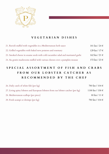

#### **VEGETARIAN DISHES**

| 21. Ravioli stuffed with vegetables in a Mediterranean herb sauce               | 181 kn / 24 $\in$         |
|---------------------------------------------------------------------------------|---------------------------|
| 22. Grilled vegetables with baked new potatoes and rosemary                     | 129 kn / 17 €             |
| 23. Smoked cheese in sesame seeds with cold cucumber salad and marinated garlic | $162 \text{ kn} / 21 \in$ |
| 24. Au gratin mushrooms stuffed with various cheeses over a pumpkin mousse      | $172 \text{ kn}$ / 23 €   |

# **SPECIAL ASSORTMENT OF FISH AND CRABS FROM OUR LOBSTER CATCHER AS RECOMMENDED BY THE CHEF**

| 26. Daily catch of white fish (per kg)                                            | 780 kn / 104 €           |
|-----------------------------------------------------------------------------------|--------------------------|
| 27. Living spiny lobsters and European lobsters from our lobster catcher (per kg) | 1188 kn / 158 €          |
| 28. Mediterranean scallops (per piece)                                            | $80 \text{ kn} / 11 \in$ |
| 29. Fresh scampi or shrimps (per kg)                                              | 780 kn / 104 €           |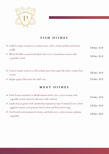

# **FISH DISHES**

| 30. Grilled octopus tentacles in a tomato sauce with a creamy polenta and Istrian<br>truffle       | 328 kn / 44 $\in$ |
|----------------------------------------------------------------------------------------------------|-------------------|
| 31. White fish fillet covered with black olives over a broad bean mousse with<br>vegetable ravioli | 338 kn / 45 €     |
| 32. Tuna in sesame seeds in a cold cocktail sauce from squid ink with a creamy beet<br>risotto     | 328 kn / 44 $\in$ |
| 33. Angler popara (fish stew) the chef's way                                                       | 318 kn / 42 $\in$ |

## **MEAT DISHES**

| 36. Duck breasts marinated in Mediterranean herbs over a carrot mousse with       | 316 kn / 42 € |
|-----------------------------------------------------------------------------------|---------------|
| vegetable ravioli, reduced cold sauce with soybeans                               |               |
| 37. Lamb chop au gratin with samoborska muštarda (a type of mustard) over a fried | 338 kn / 45 € |
| eggplant mousse, new potatoes fried in skin and fried onion rings                 |               |
| 39. Veal French rack marinated in honey and herbs over a celery mousse, julienne  | 348 kn / 46 € |
| vegetables                                                                        |               |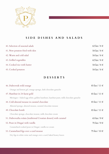

## **SIDE DISHES AND SALADS**

| 40. Selection of seasonal salads | 62 kn / $8 \in$ |
|----------------------------------|-----------------|
| 41. New potatoes fried with skin | 58 kn / $8 \in$ |
| 42. Warm and cold salad          | 58 kn / $8 \in$ |
| 43. Grilled vegetables           | 62 kn / $8 \in$ |
| 44. Cooked rice with butter      | 58 kn / $8 \in$ |
| 45. Cooked potatoes              | 58 kn / $8 \in$ |

#### **DESSERTS**

| 46. Dubrovnik wild orange                                                            | $85 \text{ kn} / 11 \in$ |
|--------------------------------------------------------------------------------------|--------------------------|
| Orange and lemon gel, orange sponge, dark chocolate ganache                          |                          |
| 47. Hazelnut in 24-karat gold                                                        | $85 \text{ kn} / 11 \in$ |
| Meringue - baked egg white, golden hazelnuts, hazelnut paste, milk chocolate ganache |                          |
| 48. Cold almond mousse in caramel chocolate                                          | $85 \text{ kn} / 11 \in$ |
| Almond sponge, almond mousse, caramel chocolate mousse                               |                          |
| 49. Chocolate bomb                                                                   | $85 \text{ kn} / 11 \in$ |
| Chocolate sponge, chocolate mousse, milk chocolate cream                             |                          |
| 51. Dubrovačka rožata (traditional Croatian dessert) with caramel                    | 65 kn / $9 \in$          |
| 52. Pears in Dingač with vanilla                                                     | 70 kn / 9 $\in$          |
| Caramelized cooked pears in Dingač, vanilla ice cream                                |                          |
| 53. Caramelized figs over a curd mousse                                              | 75 kn / $10 \in$         |
| Dry figs in white wine and orange over a curd, baked honey leaves                    |                          |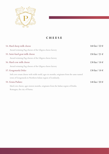

## **CHEESE**

| 54. Hard sheep milk cheese                                 |                                                                                        | $168 \text{ kn} / 22 \in$ |
|------------------------------------------------------------|----------------------------------------------------------------------------------------|---------------------------|
| Award-winning Pag cheeses of the Gligora cheese factory    |                                                                                        |                           |
| 55. Semi-hard goat milk cheese                             |                                                                                        | $158 \text{ kn} / 21 \in$ |
| Award-winning Pag cheeses of the Gligora cheese factory    |                                                                                        |                           |
| 56. Hard cow milk cheese                                   |                                                                                        | $138 \text{ kn} / 18 \in$ |
| Award-winning Pag cheeses of the Gligora cheese factory    |                                                                                        |                           |
| 57. Gorgonzola Dolce                                       |                                                                                        | $138 \text{ kn} / 18 \in$ |
|                                                            | Soft cow cream cheese with noble mold, ages six months, originates from the same named |                           |
| town of Gorgonzola in Northern Italian region of Lombardy. |                                                                                        |                           |
| 58. Grana Padano                                           |                                                                                        | 148 kn / 20 $\in$         |
|                                                            | Hard cow cheese, ages sixteen months, originates from the Italian region of Emilia     |                           |
| Romagna, the city of Parma.                                |                                                                                        |                           |